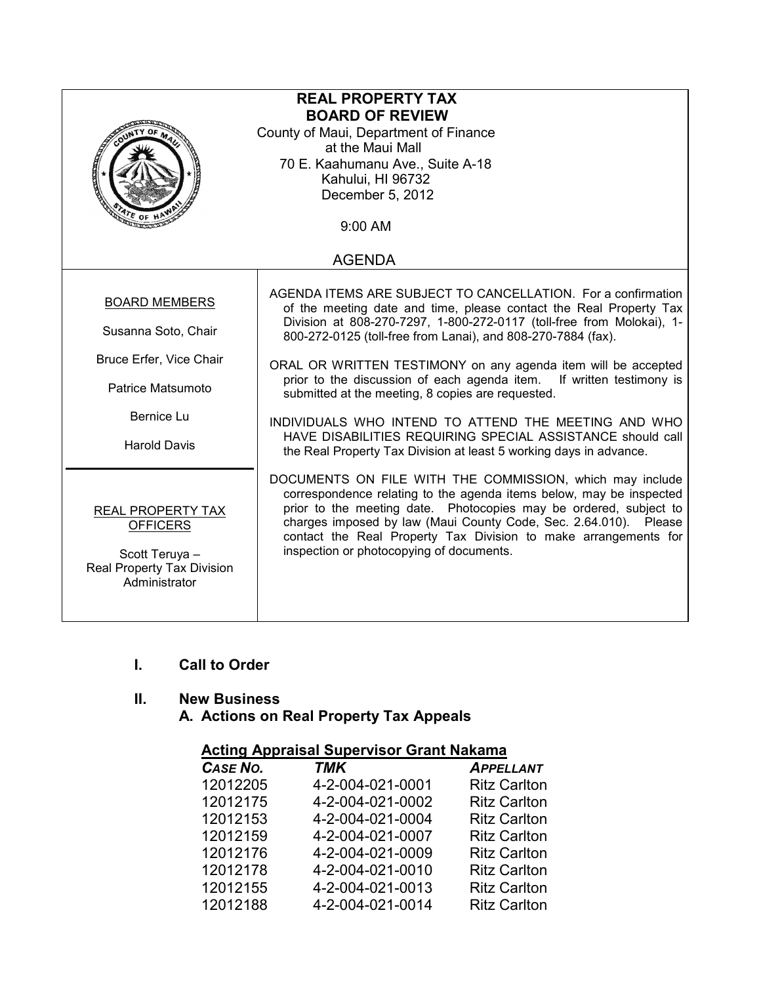| <b>REAL PROPERTY TAX</b><br><b>BOARD OF REVIEW</b><br>County of Maui, Department of Finance<br>at the Maui Mall<br>70 E. Kaahumanu Ave., Suite A-18<br>Kahului, HI 96732<br>December 5, 2012<br>$4r_E$ of H<br>9:00 AM |                                                                                                                                                                                                                                                                                                                                                                                                                                                                                                                                                                                                                                                                       |  |  |  |
|------------------------------------------------------------------------------------------------------------------------------------------------------------------------------------------------------------------------|-----------------------------------------------------------------------------------------------------------------------------------------------------------------------------------------------------------------------------------------------------------------------------------------------------------------------------------------------------------------------------------------------------------------------------------------------------------------------------------------------------------------------------------------------------------------------------------------------------------------------------------------------------------------------|--|--|--|
| <b>AGENDA</b>                                                                                                                                                                                                          |                                                                                                                                                                                                                                                                                                                                                                                                                                                                                                                                                                                                                                                                       |  |  |  |
| <b>BOARD MEMBERS</b><br>Susanna Soto, Chair<br>Bruce Erfer, Vice Chair<br>Patrice Matsumoto<br>Bernice Lu<br><b>Harold Davis</b>                                                                                       | AGENDA ITEMS ARE SUBJECT TO CANCELLATION. For a confirmation<br>of the meeting date and time, please contact the Real Property Tax<br>Division at 808-270-7297, 1-800-272-0117 (toll-free from Molokai), 1-<br>800-272-0125 (toll-free from Lanai), and 808-270-7884 (fax).<br>ORAL OR WRITTEN TESTIMONY on any agenda item will be accepted<br>prior to the discussion of each agenda item. If written testimony is<br>submitted at the meeting, 8 copies are requested.<br>INDIVIDUALS WHO INTEND TO ATTEND THE MEETING AND WHO<br>HAVE DISABILITIES REQUIRING SPECIAL ASSISTANCE should call<br>the Real Property Tax Division at least 5 working days in advance. |  |  |  |
| REAL PROPERTY TAX<br><b>OFFICERS</b><br>Scott Teruya -<br>Real Property Tax Division<br>Administrator                                                                                                                  | DOCUMENTS ON FILE WITH THE COMMISSION, which may include<br>correspondence relating to the agenda items below, may be inspected<br>prior to the meeting date. Photocopies may be ordered, subject to<br>charges imposed by law (Maui County Code, Sec. 2.64.010). Please<br>contact the Real Property Tax Division to make arrangements for<br>inspection or photocopying of documents.                                                                                                                                                                                                                                                                               |  |  |  |

## I. Call to Order

### II. New Business

A. Actions on Real Property Tax Appeals

| <u>Acting Appraisal Supervisor Grant Nakama</u> |                  |                     |  |  |
|-------------------------------------------------|------------------|---------------------|--|--|
| CASE NO.                                        | <b>TMK</b>       | <b>APPELLANT</b>    |  |  |
| 12012205                                        | 4-2-004-021-0001 | <b>Ritz Carlton</b> |  |  |
| 12012175                                        | 4-2-004-021-0002 | <b>Ritz Carlton</b> |  |  |
| 12012153                                        | 4-2-004-021-0004 | <b>Ritz Carlton</b> |  |  |
| 12012159                                        | 4-2-004-021-0007 | <b>Ritz Carlton</b> |  |  |
| 12012176                                        | 4-2-004-021-0009 | <b>Ritz Carlton</b> |  |  |
| 12012178                                        | 4-2-004-021-0010 | <b>Ritz Carlton</b> |  |  |
| 12012155                                        | 4-2-004-021-0013 | <b>Ritz Carlton</b> |  |  |
| 12012188                                        | 4-2-004-021-0014 | <b>Ritz Carlton</b> |  |  |
|                                                 |                  |                     |  |  |

# Acting Appraisal Supervisor Grant Nakama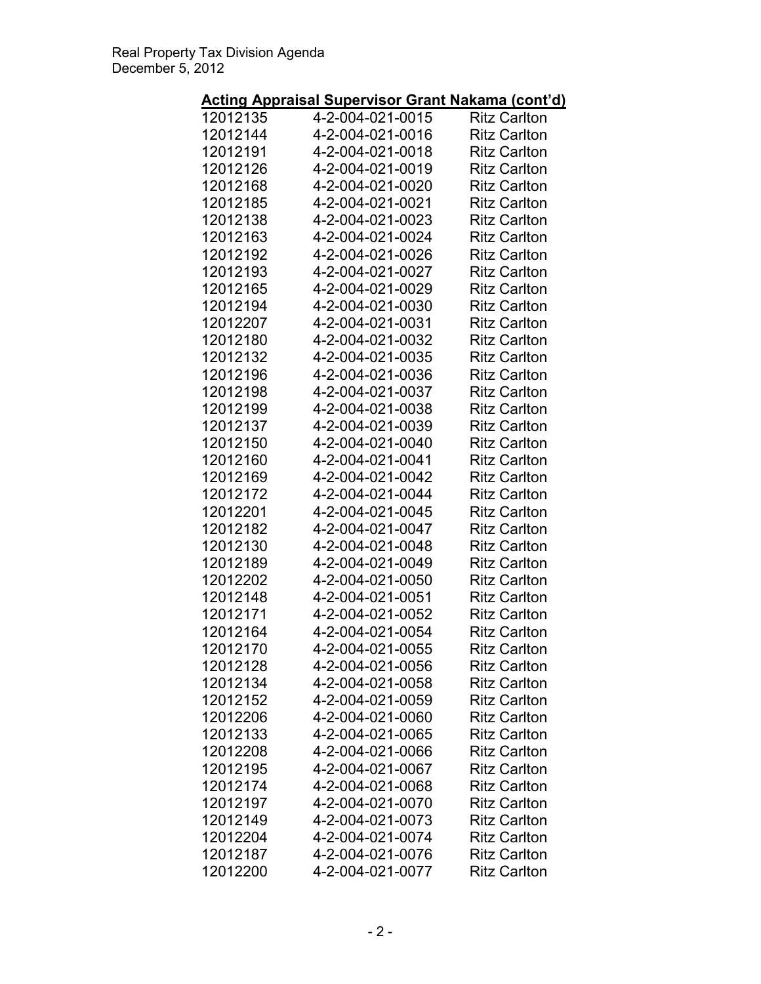# Acting Appraisal Supervisor Grant Nakama (cont'd)

| יישי     |                  |                     |
|----------|------------------|---------------------|
| 12012135 | 4-2-004-021-0015 | <b>Ritz Carlton</b> |
| 12012144 | 4-2-004-021-0016 | <b>Ritz Carlton</b> |
| 12012191 | 4-2-004-021-0018 | <b>Ritz Carlton</b> |
| 12012126 | 4-2-004-021-0019 | <b>Ritz Carlton</b> |
| 12012168 | 4-2-004-021-0020 | <b>Ritz Carlton</b> |
| 12012185 | 4-2-004-021-0021 | <b>Ritz Carlton</b> |
| 12012138 | 4-2-004-021-0023 | <b>Ritz Carlton</b> |
| 12012163 | 4-2-004-021-0024 | <b>Ritz Carlton</b> |
| 12012192 | 4-2-004-021-0026 | <b>Ritz Carlton</b> |
| 12012193 | 4-2-004-021-0027 | <b>Ritz Carlton</b> |
| 12012165 | 4-2-004-021-0029 | <b>Ritz Carlton</b> |
| 12012194 | 4-2-004-021-0030 | <b>Ritz Carlton</b> |
|          |                  |                     |
| 12012207 | 4-2-004-021-0031 | <b>Ritz Carlton</b> |
| 12012180 | 4-2-004-021-0032 | <b>Ritz Carlton</b> |
| 12012132 | 4-2-004-021-0035 | <b>Ritz Carlton</b> |
| 12012196 | 4-2-004-021-0036 | <b>Ritz Carlton</b> |
| 12012198 | 4-2-004-021-0037 | <b>Ritz Carlton</b> |
| 12012199 | 4-2-004-021-0038 | <b>Ritz Carlton</b> |
| 12012137 | 4-2-004-021-0039 | <b>Ritz Carlton</b> |
| 12012150 | 4-2-004-021-0040 | <b>Ritz Carlton</b> |
| 12012160 | 4-2-004-021-0041 | <b>Ritz Carlton</b> |
| 12012169 | 4-2-004-021-0042 | <b>Ritz Carlton</b> |
| 12012172 | 4-2-004-021-0044 | <b>Ritz Carlton</b> |
| 12012201 | 4-2-004-021-0045 | <b>Ritz Carlton</b> |
| 12012182 | 4-2-004-021-0047 | <b>Ritz Carlton</b> |
| 12012130 | 4-2-004-021-0048 | <b>Ritz Carlton</b> |
| 12012189 | 4-2-004-021-0049 | <b>Ritz Carlton</b> |
| 12012202 | 4-2-004-021-0050 | <b>Ritz Carlton</b> |
| 12012148 | 4-2-004-021-0051 | <b>Ritz Carlton</b> |
| 12012171 |                  | <b>Ritz Carlton</b> |
|          | 4-2-004-021-0052 |                     |
| 12012164 | 4-2-004-021-0054 | <b>Ritz Carlton</b> |
| 12012170 | 4-2-004-021-0055 | <b>Ritz Carlton</b> |
| 12012128 | 4-2-004-021-0056 | <b>Ritz Carlton</b> |
| 12012134 | 4-2-004-021-0058 | <b>Ritz Carlton</b> |
| 12012152 | 4-2-004-021-0059 | <b>Ritz Carlton</b> |
| 12012206 | 4-2-004-021-0060 | <b>Ritz Carlton</b> |
| 12012133 | 4-2-004-021-0065 | <b>Ritz Carlton</b> |
| 12012208 | 4-2-004-021-0066 | <b>Ritz Carlton</b> |
| 12012195 | 4-2-004-021-0067 | <b>Ritz Carlton</b> |
| 12012174 | 4-2-004-021-0068 | <b>Ritz Carlton</b> |
| 12012197 | 4-2-004-021-0070 | <b>Ritz Carlton</b> |
| 12012149 | 4-2-004-021-0073 | <b>Ritz Carlton</b> |
| 12012204 | 4-2-004-021-0074 | <b>Ritz Carlton</b> |
| 12012187 | 4-2-004-021-0076 | <b>Ritz Carlton</b> |
| 12012200 | 4-2-004-021-0077 | <b>Ritz Carlton</b> |
|          |                  |                     |